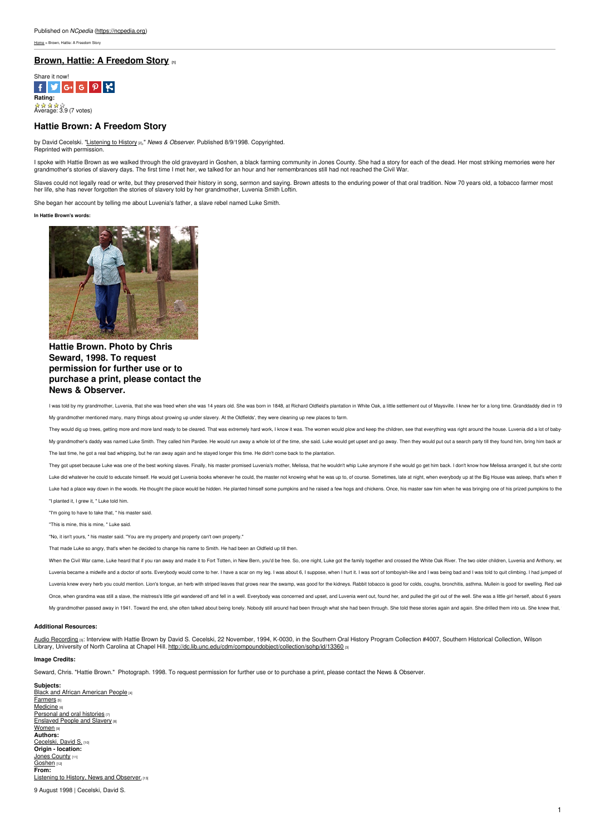[Home](https://ncpedia.org/) > Brown, Hattie: A Freedom Story

# **Brown, Hattie: A [Freedom](https://ncpedia.org/listening-to-history/brown-hattie) Story [1]**



# **Hattie Brown: A Freedom Story**

by David Cecelski. ["Listening](https://ncpedia.org/listening-to-history) to History [2]," *News & Observer*. Published 8/9/1998. Copyrighted. Reprinted with permission.

l spoke with Hattie Brown as we walked through the old graveyard in Goshen, a black farming community in Jones County. She had a story for each of the dead. Her most striking memories were her<br>grandmother's stories of slav

Slaves could not legally read or write, but they [preserved](http://www.social9.com) their history in song, sermon and saying. Brown attests to the enduring power of that oral tradition. Now 70 years old, a tobacco farmer most<br>her life, she has nev

She began her account by telling me about Luvenia's father, a slave rebel named Luke Smith.

#### **In Hattie Brown's words:**



# **Hattie Brown. Photo by Chris Seward, 1998. To request permission for further use or to purchase a print, please contact the News & Observer.**

I was told by my grandmother, Luvenia, that she was freed when she was 14 years old. She was born in 1848, at Richard Oldfield's plantation in White Oak, a little settlement out of Maysville. I knew her for a long time. Gr My grandmother mentioned many, many things about growing up under slavery. At the Oldfields', they were cleaning up new places to farm.

They would dig up trees, getting more and more land ready to be cleared. That was extremely hard work, I know it was. The women would plow and keep the children, see that everything was right around the house. Luvenia did My grandmother's daddy was named Luke Smith. They called him Pardee. He would run away a whole lot of the time, she said. Luke would get upset and go away. Then they would put out a search party till they found him, bring The last time, he got a real bad whipping, but he ran away again and he stayed longer this time. He didn't come back to the plantation.

They got upset because Luke was one of the best working slaves. Finally, his master promised Luvenia's mother, Melissa, that he wouldn't whip Luke anymore if she would go get him back. I don't know how Melissa arranged it, Luke did whatever he could to educate himself. He would get Luvenia books whenever he could, the master not knowing what he was up to, of course. Sometimes, late at night, when everybody up at the Big House was askep, that Luke had a place way down in the woods. He thought the place would be hidden. He planted himself some pumpkins and he raised a few hogs and chickens. Once, his master saw him when he was bringing one of his prized pumpkins "I planted it, I grew it, " Luke told him.

"I'm going to have to take that, " his master said.

"This is mine, this is mine, " Luke said.

"No, it isn't yours, " his master said. "You are my property and property can't own property."

That made Luke so angry, that's when he decided to change his name to Smith. He had been an Oldfield up till then.

When the Civil War came, Luke heard that if you ran away and made it to Fort Totten, in New Bern, you'd be free. So, one night, Luke got the family together and crossed the White Oak River. The two older children, Luvenia Luvenia became a midwife and a doctor of sorts. Everybody would come to her. I have a scar on my leg. I was about 6, I suppose, when I hurt it. I was sort of tomboyish-like and I was being bad and I was told to quit climbi Luvenia knew every herb you could mention. Lion's tongue, an herb with striped leaves that grows near the swamp, was good for the kidneys. Rabbit tobacco is good for colds, coughs, bronchitis, asthma. Mullein is good for s Once, when grandma was still a slave, the mistress's little girl wandered off and fell in a well. Everybody was concerned and upset, and Luvenia went out, found her, and pulled the girl out of the well. She was a little gi My grandmother passed away in 1941. Toward the end, she often talked about being lonely. Nobody still around had been through what she had been through. She told these stories again and again. She drilled them into us, She

#### **Additional Resources:**

A<u>udio [Recording](http://dc.lib.unc.edu/cdm/compoundobject/collection/sohp/id/13360) set Interview with Hattie Brown by David S. Cecelski, 22 November, 1994, K-0030, in the Southern Oral History Program Collection #4007, Southern Historical Collection, Wilson<br>Library, University of North C</u>

### **Image Credits:**

Seward, Chris. "Hattie Brown." Photograph. 1998. To request permission for further use or to purchase a print, please contact the News & Observer.

**Subjects:** Black and African [American](https://ncpedia.org/category/subjects/african-americans) People [4] [Farmers](https://ncpedia.org/category/subjects/farmers) [5] [Medicine](https://ncpedia.org/category/subjects/medicine) [6] [Personal](https://ncpedia.org/taxonomy/term/3175) and oral histories  $\sigma$ **[Enslaved](https://ncpedia.org/category/subjects/slavery) People and Slavery [8]** [Women](https://ncpedia.org/category/subjects/women) [9] **Authors:** [Cecelski,](https://ncpedia.org/category/authors/cecelski-david-s) David S. [10] **Origin - location:** Jones [County](https://ncpedia.org/category/origin-location/coastal-14) [11] [Goshen](https://ncpedia.org/category/origin-location/goshen) [12] **From:** Listening to History, News and [Observer.](https://ncpedia.org/category/entry-source/listening) [13]

9 August 1998 |Cecelski, David S.